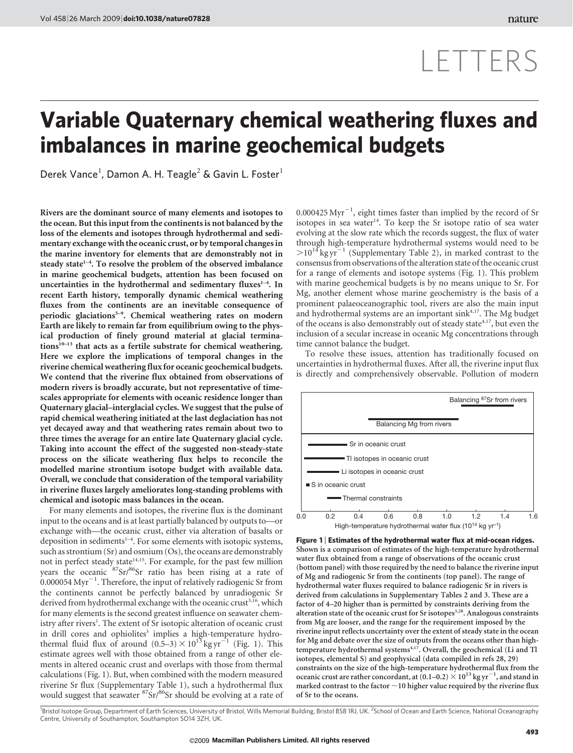# LETTERS

## Variable Quaternary chemical weathering fluxes and imbalances in marine geochemical budgets

Derek Vance<sup>1</sup>, Damon A. H. Teagle<sup>2</sup> & Gavin L. Foster<sup>1</sup>

Rivers are the dominant source of many elements and isotopes to the ocean. But this input from the continents is not balanced by the loss of the elements and isotopes through hydrothermal and sedimentary exchange with the oceanic crust, or by temporal changesin the marine inventory for elements that are demonstrably not in steady state $1-4$ . To resolve the problem of the observed imbalance in marine geochemical budgets, attention has been focused on uncertainties in the hydrothermal and sedimentary fluxes<sup>1-4</sup>. In recent Earth history, temporally dynamic chemical weathering fluxes from the continents are an inevitable consequence of periodic glaciations<sup>5-9</sup>. Chemical weathering rates on modern Earth are likely to remain far from equilibrium owing to the physical production of finely ground material at glacial terminations $^{10-13}$  that acts as a fertile substrate for chemical weathering. Here we explore the implications of temporal changes in the riverine chemical weathering flux for oceanic geochemical budgets. We contend that the riverine flux obtained from observations of modern rivers is broadly accurate, but not representative of timescales appropriate for elements with oceanic residence longer than Quaternary glacial–interglacial cycles. We suggest that the pulse of rapid chemical weathering initiated at the last deglaciation has not yet decayed away and that weathering rates remain about two to three times the average for an entire late Quaternary glacial cycle. Taking into account the effect of the suggested non-steady-state process on the silicate weathering flux helps to reconcile the modelled marine strontium isotope budget with available data. Overall, we conclude that consideration of the temporal variability in riverine fluxes largely ameliorates long-standing problems with chemical and isotopic mass balances in the ocean.

For many elements and isotopes, the riverine flux is the dominant input to the oceans and is at least partially balanced by outputs to—or exchange with—the oceanic crust, either via alteration of basalts or deposition in sediments $1-4$ . For some elements with isotopic systems, such as strontium (Sr) and osmium (Os), the oceans are demonstrably not in perfect steady state<sup>14,15</sup>. For example, for the past few million years the oceanic <sup>87</sup>Sr/<sup>86</sup>Sr ratio has been rising at a rate of  $\sim 0.000054$  Myr $^{-1}$ . Therefore, the input of relatively radiogenic Sr from the continents cannot be perfectly balanced by unradiogenic Sr derived from hydrothermal exchange with the oceanic crust<sup>3,16</sup>, which for many elements is the second greatest influence on seawater chemistry after rivers<sup>1</sup>. The extent of Sr isotopic alteration of oceanic crust in drill cores and ophiolites<sup>3</sup> implies a high-temperature hydrothermal fluid flux of around  $(0.5-3) \times 10^{13}$  kg yr<sup>-1</sup> (Fig. 1). This estimate agrees well with those obtained from a range of other elements in altered oceanic crust and overlaps with those from thermal calculations (Fig. 1). But, when combined with the modern measured riverine Sr flux (Supplementary Table 1), such a hydrothermal flux would suggest that seawater <sup>87</sup>Sr/<sup>86</sup>Sr should be evolving at a rate of  $0.000425 \, \text{Myr}^{-1}$ , eight times faster than implied by the record of Sr isotopes in sea water<sup>14</sup>. To keep the Sr isotope ratio of sea water evolving at the slow rate which the records suggest, the flux of water through high-temperature hydrothermal systems would need to be  $>10^{14}$  kg yr<sup>-1</sup> (Supplementary Table 2), in marked contrast to the consensus from observations of the alteration state of the oceanic crust for a range of elements and isotope systems (Fig. 1). This problem with marine geochemical budgets is by no means unique to Sr. For Mg, another element whose marine geochemistry is the basis of a prominent palaeoceanographic tool, rivers are also the main input and hydrothermal systems are an important sink<sup>4,17</sup>. The Mg budget of the oceans is also demonstrably out of steady state<sup>4,17</sup>, but even the inclusion of a secular increase in oceanic Mg concentrations through time cannot balance the budget.

To resolve these issues, attention has traditionally focused on uncertainties in hydrothermal fluxes. After all, the riverine input flux is directly and comprehensively observable. Pollution of modern



Figure 1 <sup>|</sup> Estimates of the hydrothermal water flux at mid-ocean ridges. Shown is a comparison of estimates of the high-temperature hydrothermal water flux obtained from a range of observations of the oceanic crust (bottom panel) with those required by the need to balance the riverine input of Mg and radiogenic Sr from the continents (top panel). The range of hydrothermal water fluxes required to balance radiogenic Sr in rivers is derived from calculations in Supplementary Tables 2 and 3. These are a factor of 4–20 higher than is permitted by constraints deriving from the alteration state of the oceanic crust for Sr isotopes<sup>3,28</sup>. Analogous constraints from Mg are looser, and the range for the requirement imposed by the riverine input reflects uncertainty over the extent of steady state in the ocean for Mg and debate over the size of outputs from the oceans other than hightemperature hydrothermal systems<sup>4,17</sup>. Overall, the geochemical (Li and Tl isotopes, elemental S) and geophysical (data compiled in refs 28, 29) constraints on the size of the high-temperature hydrothermal flux from the oceanic crust are rather concordant, at  $(0.1-0.2) \times 10^{13}$  kg yr<sup>-1</sup>, and stand in marked contrast to the factor  $\sim\!10$  higher value required by the riverine flux of Sr to the oceans.

<sup>1</sup>Bristol Isotope Group, Department of Earth Sciences, University of Bristol, Wills Memorial Building, Bristol BS8 1RJ, UK. <sup>2</sup>School of Ocean and Earth Science, National Oceanography Centre, University of Southampton, Southampton SO14 3ZH, UK.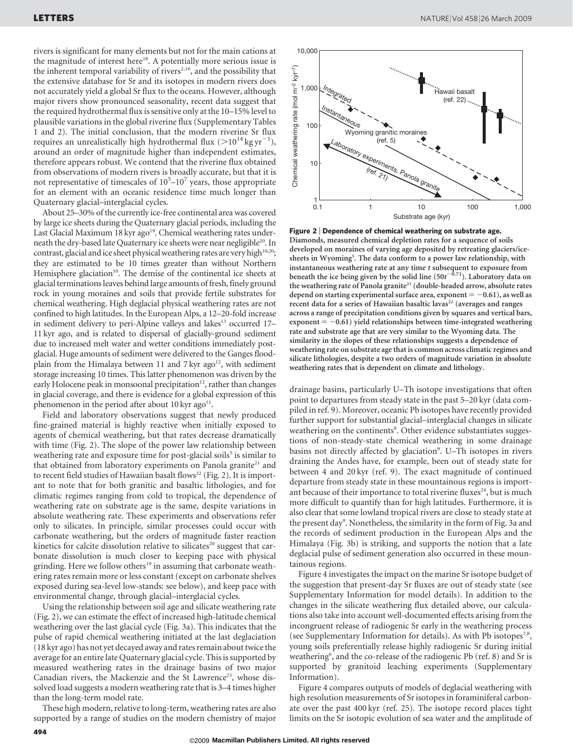rivers is significant for many elements but not for the main cations at the magnitude of interest here<sup>18</sup>. A potentially more serious issue is the inherent temporal variability of rivers<sup>2,16</sup>, and the possibility that the extensive database for Sr and its isotopes in modern rivers does not accurately yield a global Sr flux to the oceans. However, although major rivers show pronounced seasonality, recent data suggest that the required hydrothermal flux is sensitive only at the 10–15% level to plausible variations in the global riverine flux (Supplementary Tables 1 and 2). The initial conclusion, that the modern riverine Sr flux requires an unrealistically high hydrothermal flux ( $>$ 10<sup>14</sup> kg yr<sup>-1</sup>), around an order of magnitude higher than independent estimates, therefore appears robust. We contend that the riverine flux obtained from observations of modern rivers is broadly accurate, but that it is not representative of timescales of  $10^5$ – $10^7$  years, those appropriate for an element with an oceanic residence time much longer than Quaternary glacial–interglacial cycles.

About 25–30% of the currently ice-free continental area was covered by large ice sheets during the Quaternary glacial periods, including the Last Glacial Maximum 18 kyr ago<sup>19</sup>. Chemical weathering rates underneath the dry-based late Quaternary ice sheets were near negligible<sup>20</sup>. In contrast, glacial and ice sheet physical weathering rates are very high<sup>10,20</sup>; they are estimated to be 10 times greater than without Northern Hemisphere glaciation<sup>10</sup>. The demise of the continental ice sheets at glacial terminations leaves behind large amounts of fresh, finely ground rock in young moraines and soils that provide fertile substrates for chemical weathering. High deglacial physical weathering rates are not confined to high latitudes. In the European Alps, a 12–20-fold increase in sediment delivery to peri-Alpine valleys and lakes<sup>13</sup> occurred 17-11 kyr ago, and is related to dispersal of glacially-ground sediment due to increased melt water and wetter conditions immediately postglacial. Huge amounts of sediment were delivered to the Ganges floodplain from the Himalaya between 11 and 7 kyr ago<sup>12</sup>, with sediment storage increasing 10 times. This latter phenomenon was driven by the early Holocene peak in monsoonal precipitation<sup>12</sup>, rather than changes in glacial coverage, and there is evidence for a global expression of this phenomenon in the period after about 10 kyr ago<sup>11</sup>.

Field and laboratory observations suggest that newly produced fine-grained material is highly reactive when initially exposed to agents of chemical weathering, but that rates decrease dramatically with time (Fig. 2). The slope of the power law relationship between weathering rate and exposure time for post-glacial soils<sup>5</sup> is similar to that obtained from laboratory experiments on Panola granite<sup>21</sup> and to recent field studies of Hawaiian basalt flows<sup>22</sup> (Fig. 2). It is important to note that for both granitic and basaltic lithologies, and for climatic regimes ranging from cold to tropical, the dependence of weathering rate on substrate age is the same, despite variations in absolute weathering rate. These experiments and observations refer only to silicates. In principle, similar processes could occur with carbonate weathering, but the orders of magnitude faster reaction kinetics for calcite dissolution relative to silicates<sup>20</sup> suggest that carbonate dissolution is much closer to keeping pace with physical grinding. Here we follow others<sup>19</sup> in assuming that carbonate weathering rates remain more or less constant (except on carbonate shelves exposed during sea-level low-stands: see below), and keep pace with environmental change, through glacial–interglacial cycles.

Using the relationship between soil age and silicate weathering rate (Fig. 2), we can estimate the effect of increased high-latitude chemical weathering over the last glacial cycle (Fig. 3a). This indicates that the pulse of rapid chemical weathering initiated at the last deglaciation (18 kyr ago) has not yet decayed away and rates remain about twice the average for an entire late Quaternary glacial cycle. This is supported by measured weathering rates in the drainage basins of two major Canadian rivers, the Mackenzie and the St Lawrence<sup>23</sup>, whose dissolved load suggests a modern weathering rate that is 3–4 times higher than the long-term model rate.

These high modern, relative to long-term, weathering rates are also supported by a range of studies on the modern chemistry of major



Figure 2 | Dependence of chemical weathering on substrate age. Diamonds, measured chemical depletion rates for a sequence of soils developed on moraines of varying age deposited by retreating glaciers/icesheets in Wyoming<sup>5</sup>. The data conform to a power law relationship, with instantaneous weathering rate at any time t subsequent to exposure from beneath the ice being given by the solid line ( $50t^{-0.71}$ ). Laboratory data on the weathering rate of Panola granite<sup>21</sup> (double-headed arrow, absolute rates depend on starting experimental surface area, exponent  $= -0.61$ ), as well as recent data for a series of Hawaiian basaltic lavas<sup>22</sup> (averages and ranges across a range of precipitation conditions given by squares and vertical bars, exponent  $= -0.61$ ) yield relationships between time-integrated weathering rate and substrate age that are very similar to the Wyoming data. The similarity in the slopes of these relationships suggests a dependence of weathering rate on substrate age that is common across climatic regimes and silicate lithologies, despite a two orders of magnitude variation in absolute weathering rates that is dependent on climate and lithology.

drainage basins, particularly U–Th isotope investigations that often point to departures from steady state in the past 5–20 kyr (data compiled in ref. 9). Moreover, oceanic Pb isotopes have recently provided further support for substantial glacial–interglacial changes in silicate weathering on the continents<sup>8</sup>. Other evidence substantiates suggestions of non-steady-state chemical weathering in some drainage basins not directly affected by glaciation<sup>9</sup>. U-Th isotopes in rivers draining the Andes have, for example, been out of steady state for between 4 and 20 kyr (ref. 9). The exact magnitude of continued departure from steady state in these mountainous regions is important because of their importance to total riverine fluxes<sup>24</sup>, but is much more difficult to quantify than for high latitudes. Furthermore, it is also clear that some lowland tropical rivers are close to steady state at the present day<sup>9</sup>. Nonetheless, the similarity in the form of Fig. 3a and the records of sediment production in the European Alps and the Himalaya (Fig. 3b) is striking, and supports the notion that a late deglacial pulse of sediment generation also occurred in these mountainous regions.

Figure 4 investigates the impact on the marine Sr isotope budget of the suggestion that present-day Sr fluxes are out of steady state (see Supplementary Information for model details). In addition to the changes in the silicate weathering flux detailed above, our calculations also take into account well-documented effects arising from the incongruent release of radiogenic Sr early in the weathering process (see Supplementary Information for details). As with Pb isotopes<sup>7,8</sup>, young soils preferentially release highly radiogenic Sr during initial weathering<sup>6</sup>, and the co-release of the radiogenic Pb (ref. 8) and Sr is supported by granitoid leaching experiments (Supplementary Information).

Figure 4 compares outputs of models of deglacial weathering with high resolution measurements of Sr isotopes in foraminiferal carbonate over the past 400 kyr (ref. 25). The isotope record places tight limits on the Sr isotopic evolution of sea water and the amplitude of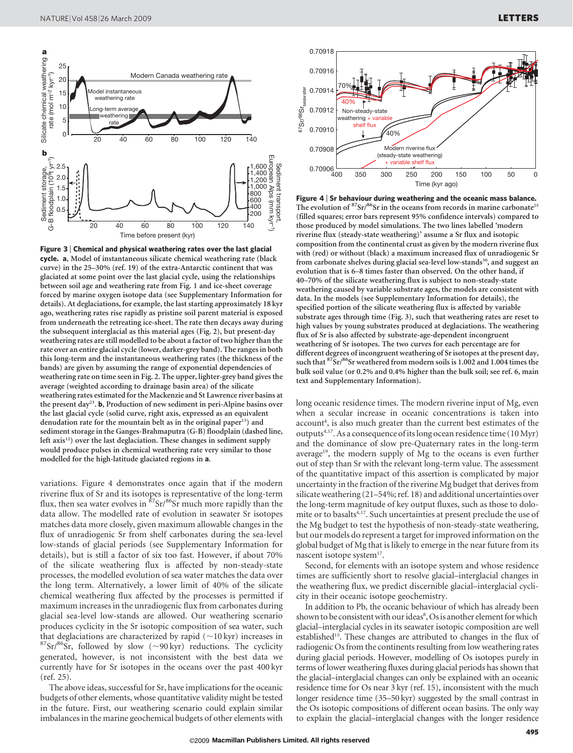

Figure 3 <sup>|</sup> Chemical and physical weathering rates over the last glacial cycle. a, Model of instantaneous silicate chemical weathering rate (black curve) in the 25–30% (ref. 19) of the extra-Antarctic continent that was glaciated at some point over the last glacial cycle, using the relationships between soil age and weathering rate from Fig. 1 and ice-sheet coverage forced by marine oxygen isotope data (see Supplementary Information for details). At deglaciations, for example, the last starting approximately 18 kyr ago, weathering rates rise rapidly as pristine soil parent material is exposed from underneath the retreating ice-sheet. The rate then decays away during the subsequent interglacial as this material ages (Fig. 2), but present-day weathering rates are still modelled to be about a factor of two higher than the rate over an entire glacial cycle (lower, darker-grey band). The ranges in both this long-term and the instantaneous weathering rates (the thickness of the bands) are given by assuming the range of exponential dependencies of weathering rate on time seen in Fig. 2. The upper, lighter-grey band gives the average (weighted according to drainage basin area) of the silicate weathering rates estimated for the Mackenzie and St Lawrence river basins at the present day<sup>23</sup>. **b**, Production of new sediment in peri-Alpine basins over the last glacial cycle (solid curve, right axis, expressed as an equivalent denudation rate for the mountain belt as in the original paper<sup>13</sup>) and sediment storage in the Ganges-Brahmaputra (G-B) floodplain (dashed line, left  $axis<sup>12</sup>$ ) over the last deglaciation. These changes in sediment supply would produce pulses in chemical weathering rate very similar to those modelled for the high-latitude glaciated regions in a.

variations. Figure 4 demonstrates once again that if the modern riverine flux of Sr and its isotopes is representative of the long-term flux, then sea water evolves in  ${}^{87}Sr/{}^{86}Sr$  much more rapidly than the data allow. The modelled rate of evolution in seawater Sr isotopes matches data more closely, given maximum allowable changes in the flux of unradiogenic Sr from shelf carbonates during the sea-level low-stands of glacial periods (see Supplementary Information for details), but is still a factor of six too fast. However, if about 70% of the silicate weathering flux is affected by non-steady-state processes, the modelled evolution of sea water matches the data over the long term. Alternatively, a lower limit of 40% of the silicate chemical weathering flux affected by the processes is permitted if maximum increases in the unradiogenic flux from carbonates during glacial sea-level low-stands are allowed. Our weathering scenario produces cyclicity in the Sr isotopic composition of sea water, such that deglaciations are characterized by rapid ( $\sim$ 10 kyr) increases in <sup>87</sup>Sr/<sup>86</sup>Sr, followed by slow ( $\sim$ 90 kyr) reductions. The cyclicity generated, however, is not inconsistent with the best data we currently have for Sr isotopes in the oceans over the past 400 kyr (ref. 25).

The above ideas, successful for Sr, have implications for the oceanic budgets of other elements, whose quantitative validity might be tested in the future. First, our weathering scenario could explain similar imbalances in the marine geochemical budgets of other elements with



Figure 4 <sup>|</sup> Sr behaviour during weathering and the oceanic mass balance. The evolution of  ${}^{87}Sr/{}^{86}Sr$  in the oceans from records in marine carbonate<sup>25</sup> (filled squares; error bars represent 95% confidence intervals) compared to those produced by model simulations. The two lines labelled 'modern riverine flux (steady-state weathering)' assume a Sr flux and isotopic composition from the continental crust as given by the modern riverine flux with (red) or without (black) a maximum increased flux of unradiogenic Sr from carbonate shelves during glacial sea-level low-stands<sup>30</sup>, and suggest an evolution that is 6–8 times faster than observed. On the other hand, if 40–70% of the silicate weathering flux is subject to non-steady-state weathering caused by variable substrate ages, the models are consistent with data. In the models (see Supplementary Information for details), the specified portion of the silicate weathering flux is affected by variable substrate ages through time (Fig. 3), such that weathering rates are reset to high values by young substrates produced at deglaciations. The weathering flux of Sr is also affected by substrate-age-dependent incongruent weathering of Sr isotopes. The two curves for each percentage are for different degrees of incongruent weathering of Sr isotopes at the present day, such that  $87\text{Sr}/86\text{Sr}$  weathered from modern soils is 1.002 and 1.004 times the bulk soil value (or 0.2% and 0.4% higher than the bulk soil; see ref. 6, main text and Supplementary Information).

long oceanic residence times. The modern riverine input of Mg, even when a secular increase in oceanic concentrations is taken into account<sup>4</sup>, is also much greater than the current best estimates of the outputs4,17. As a consequence of its long ocean residence time (10 Myr) and the dominance of slow pre-Quaternary rates in the long-term average<sup>19</sup>, the modern supply of Mg to the oceans is even further out of step than Sr with the relevant long-term value. The assessment of the quantitative impact of this assertion is complicated by major uncertainty in the fraction of the riverine Mg budget that derives from silicate weathering (21–54%; ref. 18) and additional uncertainties over the long-term magnitude of key output fluxes, such as those to dolomite or to basalts<sup>4,17</sup>. Such uncertainties at present preclude the use of the Mg budget to test the hypothesis of non-steady-state weathering, but our models do represent a target for improved information on the global budget of Mg that is likely to emerge in the near future from its nascent isotope system<sup>17</sup>.

Second, for elements with an isotope system and whose residence times are sufficiently short to resolve glacial–interglacial changes in the weathering flux, we predict discernible glacial–interglacial cyclicity in their oceanic isotope geochemistry.

In addition to Pb, the oceanic behaviour of which has already been shown to be consistent with our ideas<sup>8</sup>, Os is another element for which glacial–interglacial cycles in its seawater isotopic composition are well established<sup>15</sup>. These changes are attributed to changes in the flux of radiogenic Os from the continents resulting from low weathering rates during glacial periods. However, modelling of Os isotopes purely in terms of lower weathering fluxes during glacial periods has shown that the glacial–interglacial changes can only be explained with an oceanic residence time for Os near 3 kyr (ref. 15), inconsistent with the much longer residence time (35–50 kyr) suggested by the small contrast in the Os isotopic compositions of different ocean basins. The only way to explain the glacial–interglacial changes with the longer residence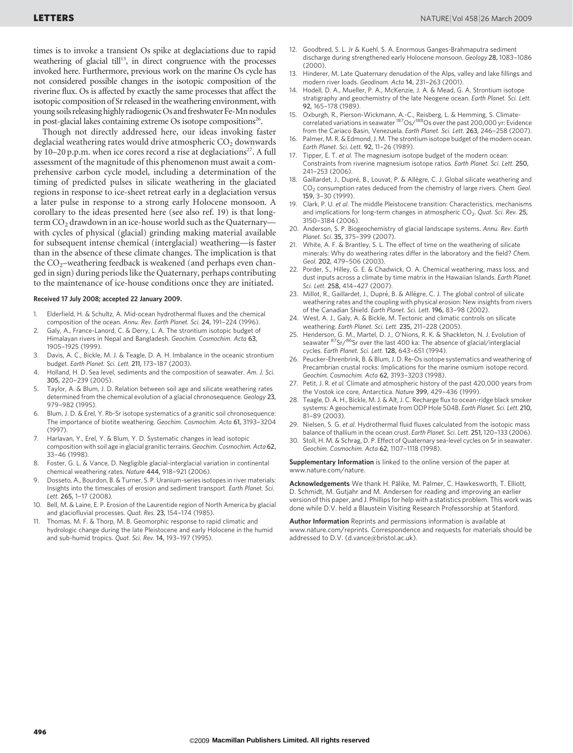times is to invoke a transient Os spike at deglaciations due to rapid weathering of glacial till $15$ , in direct congruence with the processes invoked here. Furthermore, previous work on the marine Os cycle has not considered possible changes in the isotopic composition of the riverine flux. Os is affected by exactly the same processes that affect the isotopic composition of Sr released in the weathering environment, with young soils releasing highly radiogenic Os and freshwater Fe-Mn nodules in post-glacial lakes containing extreme Os isotope compositions<sup>26</sup>.

Though not directly addressed here, our ideas invoking faster deglacial weathering rates would drive atmospheric  $CO<sub>2</sub>$  downwards by 10–20 p.p.m. when ice cores record a rise at deglaciations<sup>27</sup>. A full assessment of the magnitude of this phenomenon must await a comprehensive carbon cycle model, including a determination of the timing of predicted pulses in silicate weathering in the glaciated regions in response to ice-sheet retreat early in a deglaciation versus a later pulse in response to a strong early Holocene monsoon. A corollary to the ideas presented here (see also ref. 19) is that longterm  $CO<sub>2</sub>$  drawdown in an ice-house world such as the Quaternary with cycles of physical (glacial) grinding making material available for subsequent intense chemical (interglacial) weathering—is faster than in the absence of these climate changes. The implication is that the  $CO<sub>2</sub>$ –weathering feedback is weakened (and perhaps even changed in sign) during periods like the Quaternary, perhaps contributing to the maintenance of ice-house conditions once they are initiated.

#### Received 17 July 2008; accepted 22 January 2009.

- 1. Elderfield, H. & Schultz, A. Mid-ocean hydrothermal fluxes and the chemical composition of the ocean. Annu. Rev. Earth Planet. Sci. 24, 191–224 (1996).
- Galy, A., France-Lanord, C. & Derry, L. A. The strontium isotopic budget of Himalayan rivers in Nepal and Bangladesh. Geochim. Cosmochim. Acta 63, 1905–1925 (1999).
- Davis, A. C., Bickle, M. J. & Teagle, D. A. H. Imbalance in the oceanic strontium budget. Earth Planet. Sci. Lett. 211, 173–187 (2003).
- 4. Holland, H. D. Sea level, sediments and the composition of seawater. Am. J. Sci. 305, 220–239 (2005).
- 5. Taylor, A. & Blum, J. D. Relation between soil age and silicate weathering rates determined from the chemical evolution of a glacial chronosequence. Geology 23, 979–982 (1995).
- Blum, J. D. & Erel, Y. Rb-Sr isotope systematics of a granitic soil chronosequence: The importance of biotite weathering. Geochim. Cosmochim. Acta 61, 3193–3204 (1997).
- 7. Harlavan, Y., Erel, Y. & Blum, Y. D. Systematic changes in lead isotopic composition with soil age in glacial granitic terrains. Geochim. Cosmochim. Acta 62, 33–46 (1998).
- 8. Foster, G. L. & Vance, D. Negligible glacial-interglacial variation in continental chemical weathering rates. Nature 444, 918–921 (2006).
- 9. Dosseto, A., Bourdon, B. & Turner, S. P. Uranium-series isotopes in river materials: Insights into the timescales of erosion and sediment transport. Earth Planet. Sci. Lett. 265, 1–17 (2008).
- 10. Bell, M. & Laine, E. P. Erosion of the Laurentide region of North America by glacial and glaciofluvial processes. Quat. Res. 23, 154–174 (1985).
- 11. Thomas, M. F. & Thorp, M. B. Geomorphic response to rapid climatic and hydrologic change during the late Pleistocene and early Holocene in the humid and sub-humid tropics. Quat. Sci. Rev. 14, 193–197 (1995).
- 12. Goodbred, S. L. Jr & Kuehl, S. A. Enormous Ganges-Brahmaputra sediment discharge during strengthened early Holocene monsoon. Geology 28, 1083–1086  $(2000)$
- 13. Hinderer, M. Late Quaternary denudation of the Alps, valley and lake fillings and modern river loads. Geodinam. Acta 14, 231–263 (2001).
- 14. Hodell, D. A., Mueller, P. A., McKenzie, J. A. & Mead, G. A. Strontium isotope stratigraphy and geochemistry of the late Neogene ocean. Earth Planet. Sci. Lett. 92, 165–178 (1989).
- 15. Oxburgh, R., Pierson-Wickmann, A.-C., Reisberg, L. & Hemming, S. Climate-<br>correlated variations in seawater <sup>187</sup>Os/<sup>188</sup>Os over the past 200,000 yr: Evidence from the Cariaco Basin, Venezuela. Earth Planet. Sci. Lett. 263, 246–258 (2007).
- 16. Palmer, M. R. & Edmond, J. M. The strontium isotope budget of the modern ocean. Earth Planet. Sci. Lett. 92, 11–26 (1989).
- Tipper, E. T. et al. The magnesium isotope budget of the modern ocean: Constraints from riverine magnesium isotope ratios. Earth Planet. Sci. Lett. 250, 241–253 (2006).
- 18. Gaillardet, J., Dupré, B., Louvat, P. & Allègre, C. J. Global silicate weathering and  $CO<sub>2</sub>$  consumption rates deduced from the chemistry of large rivers. Chem. Geol. 159, 3–30 (1999).
- 19. Clark, P. U. et al. The middle Pleistocene transition: Characteristics, mechanisms and implications for long-term changes in atmospheric  $CO<sub>2</sub>$ . Quat. Sci. Rev. 25, 3150–3184 (2006).
- 20. Anderson, S. P. Biogeochemistry of glacial landscape systems. Annu. Rev. Earth Planet. Sci. 35, 375–399 (2007).
- 21. White, A. F. & Brantley, S. L. The effect of time on the weathering of silicate minerals: Why do weathering rates differ in the laboratory and the field? Chem. Geol. 202, 479–506 (2003).
- 22. Porder, S., Hilley, G. E. & Chadwick, O. A. Chemical weathering, mass loss, and dust inputs across a climate by time matrix in the Hawaiian Islands. Earth Planet. Sci. Lett. 258, 414-427 (2007).
- 23. Millot, R., Gaillardet, J., Dupré, B. & Allègre, C. J. The global control of silicate weathering rates and the coupling with physical erosion: New insights from rivers of the Canadian Shield. Earth Planet. Sci. Lett. 196, 83–98 (2002).
- 24. West, A. J., Galy, A. & Bickle, M. Tectonic and climatic controls on silicate weathering. Earth Planet. Sci. Lett. 235, 211–228 (2005).
- 25. Henderson, G. M., Martel, D. J., O'Nions, R. K. & Shackleton, N. J. Evolution of seawater <sup>87</sup>Sr/<sup>86</sup>Sr over the last 400 ka: The absence of glacial/interglacial cycles. Earth Planet. Sci. Lett. 128, 643–651 (1994).
- 26. Peucker-Ehrenbrink, B. & Blum, J. D. Re-Os isotope systematics and weathering of Precambrian crustal rocks: Implications for the marine osmium isotope record. Geochim. Cosmochim. Acta 62, 3193–3203 (1998).
- Petit, J. R. et al. Climate and atmospheric history of the past 420,000 years from the Vostok ice core, Antarctica. Nature 399, 429–436 (1999).
- 28. Teagle, D. A. H., Bickle, M. J. & Alt, J. C. Recharge flux to ocean-ridge black smoker systems: A geochemical estimate from ODP Hole 504B. Earth Planet. Sci. Lett. 210, 81–89 (2003).
- 29. Nielsen, S. G. et al. Hydrothermal fluid fluxes calculated from the isotopic mass balance of thallium in the ocean crust. Earth Planet. Sci. Lett. 251, 120–133 (2006).
- 30. Stoll, H. M. & Schrag, D. P. Effect of Quaternary sea-level cycles on Sr in seawater. Geochim. Cosmochim. Acta 62, 1107–1118 (1998).

Supplementary Information is linked to the online version of the paper at <www.nature.com/nature>.

Acknowledgements We thank H. Pälike, M. Palmer, C. Hawkesworth, T. Elliott, D. Schmidt, M. Gutjahr and M. Andersen for reading and improving an earlier version of this paper, and J. Phillips for help with a statistics problem. This work was done while D.V. held a Blaustein Visiting Research Professorship at Stanford.

Author Information Reprints and permissions information is available at <www.nature.com/reprints>. Correspondence and requests for materials should be addressed to D.V. [\(d.vance@bristol.ac.uk\)](mailto:d.vance@bristol.ac.uk).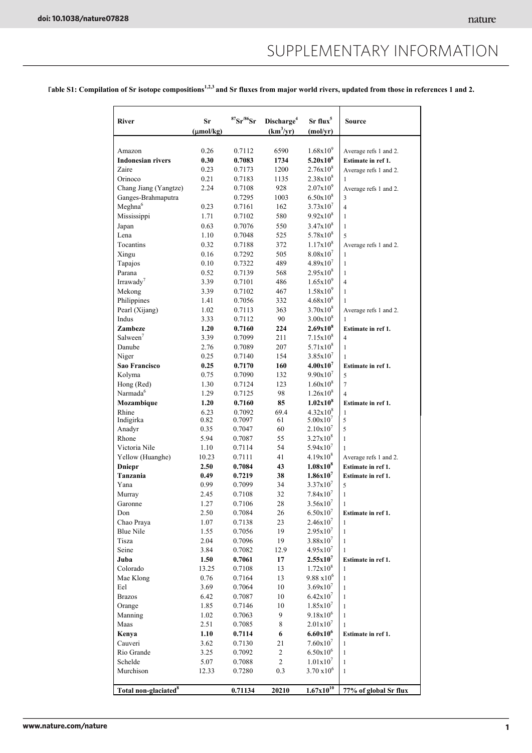### SUPPLEMENTARY INFORMATION

Fable S1: Compilation of Sr isotope compositions<sup>1,2,3</sup> and Sr fluxes from major world rivers, updated from those in references 1 and 2.

| <b>River</b>                     | Sr<br>$(\mu \text{mol/kg})$ | ${}^{87}Sr/{}^{86}Sr$ | Discharge <sup>4</sup><br>$(km^3/yr)$ | $Sr$ flux <sup>5</sup><br>(molyr) | <b>Source</b>                        |
|----------------------------------|-----------------------------|-----------------------|---------------------------------------|-----------------------------------|--------------------------------------|
| Amazon                           | 0.26                        | 0.7112                | 6590                                  | $1.68x10^{9}$                     | Average refs 1 and 2.                |
| <b>Indonesian rivers</b>         | 0.30                        | 0.7083                | 1734                                  | $5.20x10^{8}$                     | Estimate in ref 1.                   |
| Zaire                            | 0.23                        | 0.7173                | 1200                                  | $2.76x10^{8}$                     | Average refs 1 and 2.                |
| Orinoco                          | 0.21                        | 0.7183                | 1135                                  | $2.38x10^{8}$                     | 1                                    |
| Chang Jiang (Yangtze)            | 2.24                        | 0.7108                | 928                                   | $2.07x10^{9}$                     | Average refs 1 and 2.                |
| Ganges-Brahmaputra               |                             | 0.7295                | 1003                                  | $6.50x10^{8}$                     | 3                                    |
| Meghna <sup>6</sup>              | 0.23                        | 0.7161                | 162                                   | $3.73x10^{7}$                     | $\overline{4}$                       |
| Mississippi                      | 1.71                        | 0.7102                | 580                                   | $9.92 \times 10^8$                | $\mathbf{1}$                         |
| Japan                            | 0.63                        | 0.7076                | 550                                   | $3.47x10^{8}$                     | $\mathbf{1}$                         |
| Lena                             | 1.10                        | 0.7048                | 525                                   | $5.78x10^{8}$                     | 5                                    |
| Tocantins                        | 0.32                        | 0.7188                | 372                                   | $1.17x10^{8}$                     | Average refs 1 and 2.                |
| Xingu                            | 0.16                        | 0.7292                | 505                                   | $8.08x10^{7}$                     | 1                                    |
| Tapajos                          | 0.10                        | 0.7322                | 489                                   | $4.89x10^{7}$                     | 1                                    |
| Parana                           | 0.52                        | 0.7139                | 568                                   | $2.95x10^{8}$                     | $\mathbf{1}$                         |
| Irrawady <sup>7</sup>            | 3.39                        | 0.7101                | 486                                   | $1.65x10^{9}$                     | $\overline{4}$                       |
| Mekong                           | 3.39                        | 0.7102                | 467                                   | $1.58x10^{9}$                     | 1                                    |
| Philippines                      | 1.41                        | 0.7056                | 332                                   | $4.68x10^{8}$                     | 1                                    |
| Pearl (Xijang)                   | 1.02                        | 0.7113                | 363                                   | $3.70x10^{8}$                     | Average refs 1 and 2.                |
| Indus                            | 3.33                        | 0.7112                | 90                                    | $3.00x10^{8}$                     |                                      |
| Zambeze                          | 1.20                        |                       | 224                                   | $2.69x10^{8}$                     | 1                                    |
| Salween <sup>'</sup>             | 3.39                        | 0.7160<br>0.7099      | 211                                   | $7.15x10^{8}$                     | Estimate in ref 1.<br>$\overline{4}$ |
| Danube                           | 2.76                        |                       | 207                                   | $5.71x10^{8}$                     | 1                                    |
| Niger                            | 0.25                        | 0.7089<br>0.7140      | 154                                   | $3.85x10^{7}$                     | 1                                    |
| Sao Francisco                    | 0.25                        | 0.7170                | 160                                   | 4.00x10 <sup>7</sup>              | Estimate in ref 1.                   |
| Kolyma                           | 0.75                        | 0.7090                | 132                                   | $9.90x10^{7}$                     | 5                                    |
| Hong (Red)                       | 1.30                        | 0.7124                | 123                                   | $1.60x10^{8}$                     | $\overline{7}$                       |
| Narmada <sup>6</sup>             | 1.29                        | 0.7125                | 98                                    | $1.26x10^{8}$                     | $\overline{4}$                       |
| Mozambique                       | 1.20                        | 0.7160                | 85                                    | 1.02x10 <sup>8</sup>              | Estimate in ref 1.                   |
| Rhine                            | 6.23                        | 0.7092                | 69.4                                  | $4.32 \times 10^8$                | 1                                    |
| Indigirka                        | 0.82                        | 0.7097                | 61                                    | 5.00x10'                          | $\sqrt{5}$                           |
| Anadyr                           | 0.35                        | 0.7047                | 60                                    | $2.10x10^{7}$                     | 5                                    |
| Rhone                            | 5.94                        | 0.7087                | 55                                    | $3.27x10^{8}$                     | $\mathbf{1}$                         |
| Victoria Nile                    | 1.10                        | 0.7114                | 54                                    | $5.94x10^{7}$                     | 1                                    |
| Yellow (Huanghe)                 | 10.23                       | 0.7111                | 41                                    | $4.19x10^{8}$                     | Average refs 1 and 2.                |
| <b>Dniepr</b>                    | 2.50                        | 0.7084                | 43                                    | $1.08x10^{8}$                     | Estimate in ref 1.                   |
| Tanzania                         | 0.49                        | 0.7219                | 38                                    | $1.86x10^7$                       | Estimate in ref 1.                   |
| Yana                             | 0.99                        | 0.7099                | 34                                    | 3.37x10'                          | 5                                    |
| Murray                           | 2.45                        | 0.7108                | 32                                    | $7.84x10^7$                       | $\mathbf{1}$                         |
| Garonne                          | 1.27                        | 0.7106                | 28                                    | $3.56x10^{7}$                     | $\mathbf{1}$                         |
| Don                              | 2.50                        | 0.7084                | 26                                    | $6.50x10^{7}$                     | Estimate in ref 1.                   |
| Chao Praya                       | 1.07                        | 0.7138                | 23                                    | $2.46x10^{7}$                     | $\mathbf{1}$                         |
| <b>Blue Nile</b>                 | 1.55                        | 0.7056                | 19                                    | $2.95x10^{7}$                     | $\mathbf{1}$                         |
| Tisza                            | 2.04                        | 0.7096                | 19                                    | $3.88 \times 10^{7}$              | $\mathbf{1}$                         |
| Seine                            | 3.84                        | 0.7082                | 12.9                                  | $4.95x10^{7}$                     | 1                                    |
| Juba                             | 1.50                        | 0.7061                | 17                                    | $2.55x10^7$                       | Estimate in ref 1.                   |
| Colorado                         | 13.25                       | 0.7108                | 13                                    | $1.72 \times 10^8$                | $\mathbf{1}$                         |
| Mae Klong                        | 0.76                        | 0.7164                | 13                                    | $9.88 \times 10^6$                | $\mathbf{1}$                         |
| Eel                              | 3.69                        | 0.7064                | 10                                    | $3.69x10^{7}$                     | $\mathbf{1}$                         |
| <b>Brazos</b>                    | 6.42                        | 0.7087                | 10                                    | $6.42 \times 10^{7}$              | $\mathbf{1}$                         |
| Orange                           | 1.85                        | 0.7146                | 10                                    | $1.85x10^{7}$                     | 1                                    |
| Manning                          | 1.02                        | 0.7063                | 9                                     | $9.18x10^6$                       | $\mathbf{1}$                         |
| Maas                             | 2.51                        | 0.7085                | $\,$ 8 $\,$                           | $2.01x10^{7}$                     | 1                                    |
| Kenya                            | 1.10                        | 0.7114                | 6                                     | $6.60x10^{6}$                     | Estimate in ref 1.                   |
| Cauveri                          | 3.62                        | 0.7130                | 21                                    | $7.60x10^{7}$                     | $\mathbf{1}$                         |
| Rio Grande                       | 3.25                        | 0.7092                | $\overline{c}$                        | $6.50x10^{6}$                     | $\mathbf{1}$                         |
| Schelde                          | 5.07                        | 0.7088                | $\sqrt{2}$                            | $1.01x10^{7}$                     | $\mathbf{1}$                         |
| Murchison                        | 12.33                       | 0.7280                | 0.3                                   | $3.70 \times 10^{6}$              | $\mathbf{1}$                         |
|                                  |                             |                       |                                       |                                   |                                      |
| Total non-glaciated <sup>8</sup> |                             | 0.71134               | 20210                                 | $1.67 \times 10^{10}$             | 77% of global Sr flux                |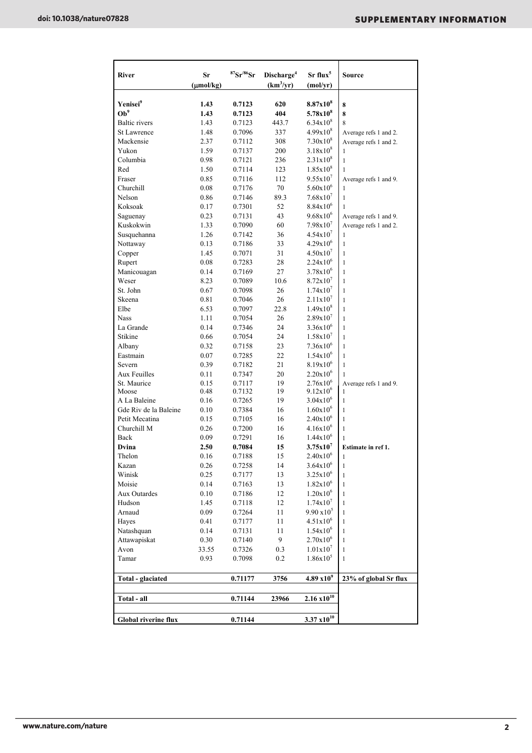| <b>River</b>                | Sr<br>$(\mu mol/kg)$ | ${}^{87}Sr/{}^{86}Sr$ | Discharge <sup>4</sup><br>(km <sup>3</sup> /yr) | Sr flux <sup>5</sup><br>(mol/yr) | <b>Source</b>              |
|-----------------------------|----------------------|-----------------------|-------------------------------------------------|----------------------------------|----------------------------|
|                             |                      |                       |                                                 |                                  |                            |
| Yenisei <sup>9</sup>        | 1.43                 | 0.7123                | 620                                             | $8.87x10^{8}$                    | 8                          |
| Ob <sup>9</sup>             | 1.43                 | 0.7123                | 404                                             | $5.78x10^{8}$                    | 8                          |
| <b>Baltic</b> rivers        | 1.43                 | 0.7123                | 443.7                                           | $6.34x10^{8}$                    | 8                          |
| <b>St Lawrence</b>          | 1.48                 | 0.7096                | 337                                             | $4.99x10^{8}$<br>$7.30x10^{8}$   | Average refs 1 and 2.      |
| Mackensie<br>Yukon          | 2.37                 | 0.7112                | 308<br>200                                      | $3.18x10^{8}$                    | Average refs 1 and 2.      |
| Columbia                    | 1.59<br>0.98         | 0.7137                | 236                                             | $2.31x10^{8}$                    | 1                          |
| Red                         | 1.50                 | 0.7121<br>0.7114      | 123                                             | $1.85x10^{8}$                    | 1<br>1                     |
| Fraser                      | 0.85                 | 0.7116                | 112                                             | 9.55x10'                         |                            |
| Churchill                   | 0.08                 | 0.7176                | 70                                              | $5.60x10^{6}$                    | Average refs 1 and 9.<br>1 |
| Nelson                      | 0.86                 | 0.7146                | 89.3                                            | 7.68x10'                         | $\mathbf{1}$               |
| Koksoak                     | 0.17                 | 0.7301                | 52                                              | $8.84 \times 10^{6}$             | 1                          |
| Saguenay                    | 0.23                 | 0.7131                | 43                                              | $9.68x10^{6}$                    | Average refs 1 and 9.      |
| Kuskokwin                   | 1.33                 | 0.7090                | 60                                              | $7.98x10^7$                      | Average refs 1 and 2.      |
| Susquehanna                 | 1.26                 | 0.7142                | 36                                              | 4.54x10'                         | 1                          |
| Nottaway                    | 0.13                 | 0.7186                | 33                                              | $4.29x10^{6}$                    | $\mathbf{1}$               |
| Copper                      | 1.45                 | 0.7071                | 31                                              | $4.50x10^{7}$                    | $\mathbf{1}$               |
| Rupert                      | 0.08                 | 0.7283                | 28                                              | $2.24x10^{6}$                    | 1                          |
| Manicouagan                 | 0.14                 | 0.7169                | 27                                              | $3.78x10^{6}$                    | $\mathbf{1}$               |
| Weser                       | 8.23                 | 0.7089                | 10.6                                            | $8.72 \times 10^7$               | $\mathbf{1}$               |
| St. John                    | 0.67                 | 0.7098                | 26                                              | $1.74 \times 10^{7}$             | $\mathbf{1}$               |
| Skeena                      | 0.81                 | 0.7046                | 26                                              | 2.11x10 <sup>7</sup>             | 1                          |
| Elbe                        | 6.53                 | 0.7097                | 22.8                                            | $1.49x10^{8}$                    | 1                          |
| <b>Nass</b>                 | 1.11                 | 0.7054                | 26                                              | $2.89x10^{7}$                    | $\mathbf{1}$               |
| La Grande                   | 0.14                 | 0.7346                | 24                                              | $3.36x10^{6}$                    | $\mathbf{1}$               |
| Stikine                     | 0.66                 | 0.7054                | 24                                              | $1.58x10^{7}$                    | 1                          |
| Albany                      | 0.32                 | 0.7158                | 23                                              | $7.36x10^{6}$                    | 1                          |
| Eastmain                    | 0.07                 | 0.7285                | 22                                              | $1.54x10^{6}$                    | 1                          |
| Severn                      | 0.39                 | 0.7182                | 21                                              | $8.19x10^{6}$                    | 1                          |
| Aux Feuilles                | 0.11                 | 0.7347                | 20                                              | $2.20x10^{6}$                    | 1                          |
| St. Maurice                 | 0.15                 | 0.7117                | 19                                              | $2.76x10^{6}$                    | Average refs 1 and 9.      |
| Moose                       | 0.48                 | 0.7132                | 19                                              | $9.12x10^{6}$                    | 1                          |
| A La Baleine                | 0.16                 | 0.7265                | 19                                              | $3.04x10^{6}$                    | 1                          |
| Gde Riv de la Baleine       | 0.10                 | 0.7384                | 16                                              | $1.60x10^{6}$                    | $\mathbf{1}$               |
| Petit Mecatina              | 0.15                 | 0.7105                | 16                                              | $2.40x10^{6}$                    | $\mathbf{1}$               |
| Churchill M                 | 0.26                 | 0.7200                | 16                                              | $4.16x10^{6}$                    | 1                          |
| Back                        | 0.09                 | 0.7291                | 16                                              | $1.44x10^{6}$                    | 1                          |
| Dvina                       | 2.50                 | 0.7084                | 15                                              | $3.75x10^7$                      | Estimate in ref 1.         |
| Thelon                      | 0.16                 | 0.7188                | 15                                              | $2.40x10^{6}$                    | 1                          |
| Kazan                       | 0.26                 | 0.7258                | 14                                              | $3.64x10^{6}$                    | 1                          |
| Winisk                      | 0.25                 | 0.7177                | 13                                              | $3.25x10^{6}$                    | $\mathbf{1}$               |
| Moisie                      | 0.14                 | 0.7163                | 13                                              | $1.82 \times 10^{6}$             | 1                          |
| Aux Outardes                | 0.10                 | 0.7186                | 12                                              | $1.20x10^{6}$                    | $\mathbf{1}$               |
| Hudson                      | 1.45                 | 0.7118                | 12                                              | $1.74x10^{7}$                    | 1                          |
| Arnaud                      | 0.09                 | 0.7264                | 11                                              | $9.90 \times 10^5$               | 1                          |
| Hayes                       | 0.41                 | 0.7177                | 11                                              | $4.51x10^{6}$                    | 1                          |
| Natashquan                  | 0.14                 | 0.7131                | 11                                              | $1.54x10^{6}$                    | 1                          |
| Attawapiskat                | 0.30                 | 0.7140                | 9                                               | $2.70x10^{6}$                    | 1                          |
| Avon                        | 33.55                | 0.7326                | 0.3                                             | $1.01x10^{7}$                    | $\mathbf{1}$               |
| Tamar                       | 0.93                 | 0.7098                | 0.2                                             | $1.86x10^{5}$                    | $\mathbf{1}$               |
| Total - glaciated           |                      | 0.71177               | 3756                                            | $4.89 \times 10^{9}$             | 23% of global Sr flux      |
|                             |                      |                       |                                                 |                                  |                            |
| Total - all                 |                      | 0.71144               | 23966                                           | $2.16 \times 10^{10}$            |                            |
| <b>Global riverine flux</b> |                      | 0.71144               |                                                 | $3.37 \times 10^{10}$            |                            |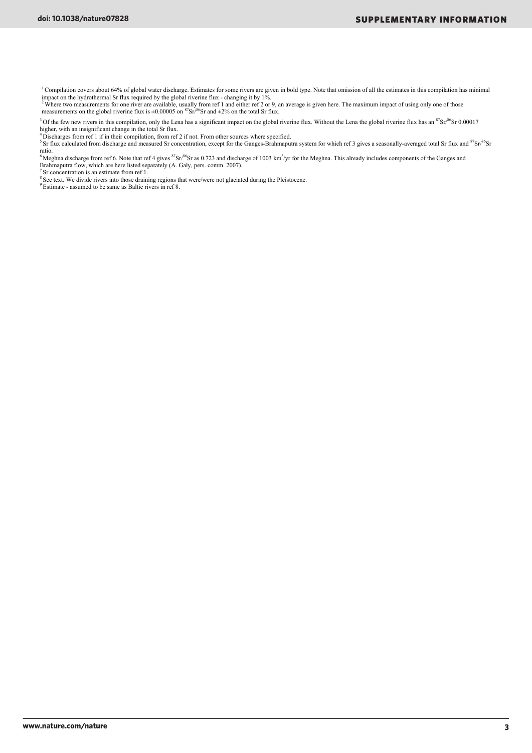<sup>1</sup> Compilation covers about 64% of global water discharge. Estimates for some rivers are given in bold type. Note that omission of all the estimates in this compilation has minimal

impact on the hydrothermal Sr flux required by the global riverine flux - changing it by 1%.<br><sup>2</sup> Where two measurements for one river are available, usually from ref 1 and either ref 2 or 9, an average is given here. The m measurements on the global riverine flux is  $\pm 0.00005$  on  ${}^{87}Sr/{}^{86}Sr$  and  $\pm 2\%$  on the total Sr flux.

<sup>3</sup> Of the few new rivers in this compilation, only the Lena has a significant impact on the global riverine flux. Without the Lena the global riverine flux has an <sup>87</sup>Sr/<sup>86</sup>Sr 0.00017 higher, with an insignificant change in the total Sr flux.

<sup>4</sup> Discharges from ref 1 if in their compilation, from ref 2 if not. From other sources where specified.<br><sup>5</sup> Sr flux calculated from discharge and measured Sr concentration, except for the Ganges-Brahmaputra system for wh ratio.

<sup>6</sup> Meghna discharge from ref 6. Note that ref 4 gives  ${}^{87}Sr/{}^{86}Sr$  as 0.723 and discharge of 1003 km<sup>3</sup>/yr for the Meghna. This already includes components of the Ganges and Brahmaputra flow, which are here listed separately (A. Galy, pers. comm. 2007).

<sup>7</sup> Sr concentration is an estimate from ref 1.

<sup>8</sup> See text. We divide rivers into those draining regions that were/were not glaciated during the Pleistocene.

<sup>9</sup> Estimate - assumed to be same as Baltic rivers in ref 8.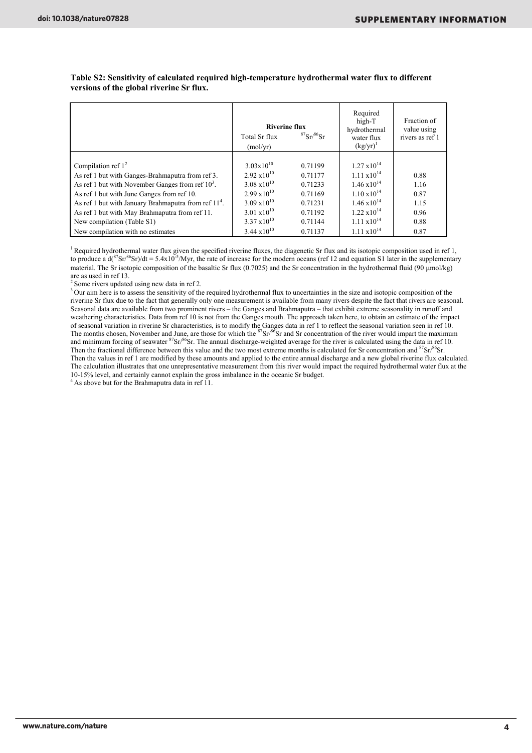|                                                                  | <b>Riverine flux</b><br>Total Sr flux<br>(mol/vr) | ${}^{87}Sr/{}^{86}Sr$ | Required<br>high-T<br>hydrothermal<br>water flux<br>$(kg/yr)^{1}$ | Fraction of<br>value using<br>rivers as ref 1 |
|------------------------------------------------------------------|---------------------------------------------------|-----------------------|-------------------------------------------------------------------|-----------------------------------------------|
|                                                                  |                                                   |                       |                                                                   |                                               |
| Compilation ref $12$                                             | $3.03 \times 10^{10}$                             | 0.71199               | $1.27 \times 10^{14}$                                             |                                               |
| As ref 1 but with Ganges-Brahmaputra from ref 3.                 | $2.92 \times 10^{10}$                             | 0.71177               | $1.11 \times 10^{14}$                                             | 0.88                                          |
| As ref 1 but with November Ganges from ref $103$ .               | $3.08 \times 10^{10}$                             | 0.71233               | $1.46 \times 10^{14}$                                             | 1.16                                          |
| As ref 1 but with June Ganges from ref 10.                       | $2.99 \times 10^{10}$                             | 0.71169               | $1.10 \times 10^{14}$                                             | 0.87                                          |
| As ref 1 but with January Brahmaputra from ref 11 <sup>4</sup> . | $3.09 \times 10^{10}$                             | 0.71231               | $1.46 \times 10^{14}$                                             | 1.15                                          |
| As ref 1 but with May Brahmaputra from ref 11.                   | $3.01 \times 10^{10}$                             | 0.71192               | $1.22 \times 10^{14}$                                             | 0.96                                          |
| New compilation (Table S1)                                       | $3.37 \times 10^{10}$                             | 0.71144               | $1.11 \times 10^{14}$                                             | 0.88                                          |
| New compilation with no estimates                                | $3.44 \times 10^{10}$                             | 0.71137               | $1.11 \times 10^{14}$                                             | 0.87                                          |

**Table S2: Sensitivity of calculated required high-temperature hydrothermal water flux to different versions of the global riverine Sr flux.** 

<sup>1</sup> Required hydrothermal water flux given the specified riverine fluxes, the diagenetic Sr flux and its isotopic composition used in ref  $1$ , to produce a  $d(^{87}Sr)^{86}Sr)/dt = 5.4x10^{-5}/Myr$ , the rate of increase for the modern oceans (ref 12 and equation S1 later in the supplementary material. The Sr isotopic composition of the basaltic Sr flux  $(0.7025)$  and the Sr concentration in the hydrothermal fluid  $(90 \mu m ol/kg)$ are as used in ref 13.

 $2$  Some rivers updated using new data in ref 2.

<sup>3</sup> Our aim here is to assess the sensitivity of the required hydrothermal flux to uncertainties in the size and isotopic composition of the riverine Sr flux due to the fact that generally only one measurement is available from many rivers despite the fact that rivers are seasonal. Seasonal data are available from two prominent rivers – the Ganges and Brahmaputra – that exhibit extreme seasonality in runoff and weathering characteristics. Data from ref 10 is not from the Ganges mouth. The approach taken here, to obtain an estimate of the impact of seasonal variation in riverine Sr characteristics, is to modify the Ganges data in ref 1 to reflect the seasonal variation seen in ref 10.<br>The months chosen, November and June, are those for which the <sup>87</sup>Sr/<sup>86</sup>Sr and and minimum forcing of seawater  ${}^{87}Sr/{}^{86}Sr$ . The annual discharge-weighted average for the river is calculated using the data in ref 10. Then the fractional difference between this value and the two most extreme months is calculated for Sr concentration and <sup>87</sup>Sr/<sup>86</sup>Sr. Then the values in ref 1 are modified by these amounts and applied to the entire annual discharge and a new global riverine flux calculated. The calculation illustrates that one unrepresentative measurement from this river would impact the required hydrothermal water flux at the 10-15% level, and certainly cannot explain the gross imbalance in the oceanic Sr budget.

<sup>4</sup> As above but for the Brahmaputra data in ref 11.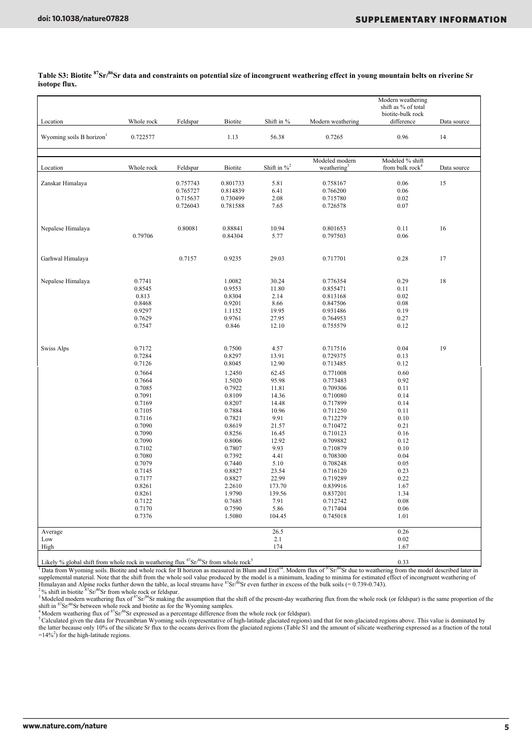|                                                                                                      |            |          |                |                  |                         | Modern weathering               |             |
|------------------------------------------------------------------------------------------------------|------------|----------|----------------|------------------|-------------------------|---------------------------------|-------------|
|                                                                                                      |            |          |                |                  |                         | shift as % of total             |             |
| Location                                                                                             | Whole rock | Feldspar | <b>Biotite</b> | Shift in %       | Modern weathering       | biotite-bulk rock<br>difference | Data source |
|                                                                                                      |            |          |                |                  |                         |                                 |             |
| Wyoming soils B horizon <sup>1</sup>                                                                 | 0.722577   |          | 1.13           | 56.38            | 0.7265                  | 0.96                            | 14          |
|                                                                                                      |            |          |                |                  |                         |                                 |             |
|                                                                                                      |            |          |                |                  |                         |                                 |             |
|                                                                                                      |            |          |                | Shift in $\%^2$  | Modeled modern          | Modeled % shift                 |             |
| Location                                                                                             | Whole rock | Feldspar | <b>Biotite</b> |                  | weathering <sup>3</sup> | from bulk $rock4$               | Data source |
| Zanskar Himalaya                                                                                     |            | 0.757743 | 0.801733       | 5.81             | 0.758167                | 0.06                            | 15          |
|                                                                                                      |            | 0.765727 | 0.814839       | 6.41             | 0.766200                | 0.06                            |             |
|                                                                                                      |            | 0.715637 | 0.730499       | 2.08             | 0.715780                | 0.02                            |             |
|                                                                                                      |            | 0.726043 | 0.781588       | 7.65             | 0.726578                | 0.07                            |             |
|                                                                                                      |            |          |                |                  |                         |                                 |             |
| Nepalese Himalaya                                                                                    |            | 0.80081  | 0.88841        | 10.94            | 0.801653                | 0.11                            | 16          |
|                                                                                                      | 0.79706    |          | 0.84304        | 5.77             | 0.797503                | 0.06                            |             |
|                                                                                                      |            |          |                |                  |                         |                                 |             |
|                                                                                                      |            |          |                |                  |                         |                                 |             |
| Garhwal Himalaya                                                                                     |            | 0.7157   | 0.9235         | 29.03            | 0.717701                | 0.28                            | 17          |
|                                                                                                      |            |          |                |                  |                         |                                 |             |
| Nepalese Himalaya                                                                                    | 0.7741     |          | 1.0082         | 30.24            | 0.776354                | 0.29                            | 18          |
|                                                                                                      | 0.8545     |          | 0.9553         | 11.80            | 0.855471                | 0.11                            |             |
|                                                                                                      | 0.813      |          | 0.8304         | 2.14             | 0.813168                | 0.02                            |             |
|                                                                                                      | 0.8468     |          | 0.9201         | 8.66             | 0.847506                | 0.08                            |             |
|                                                                                                      | 0.9297     |          | 1.1152         | 19.95            | 0.931486                | 0.19                            |             |
|                                                                                                      | 0.7629     |          | 0.9761         | 27.95            | 0.764953                | 0.27                            |             |
|                                                                                                      | 0.7547     |          | 0.846          | 12.10            | 0.755579                | 0.12                            |             |
|                                                                                                      |            |          |                |                  |                         |                                 |             |
|                                                                                                      |            |          |                |                  |                         |                                 |             |
| <b>Swiss Alps</b>                                                                                    | 0.7172     |          | 0.7500         | 4.57             | 0.717516                | 0.04                            | 19          |
|                                                                                                      | 0.7284     |          | 0.8297         | 13.91            | 0.729375                | 0.13                            |             |
|                                                                                                      | 0.7126     |          | 0.8045         | 12.90            | 0.713485                | 0.12                            |             |
|                                                                                                      | 0.7664     |          | 1.2450         | 62.45            | 0.771008                | 0.60                            |             |
|                                                                                                      | 0.7664     |          | 1.5020         | 95.98            | 0.773483                | 0.92                            |             |
|                                                                                                      | 0.7085     |          | 0.7922         | 11.81            | 0.709306                | 0.11                            |             |
|                                                                                                      | 0.7091     |          | 0.8109         | 14.36            | 0.710080                | 0.14                            |             |
|                                                                                                      | 0.7169     |          | 0.8207         | 14.48            | 0.717899                | 0.14                            |             |
|                                                                                                      | 0.7105     |          | 0.7884         | 10.96            | 0.711250                | 0.11                            |             |
|                                                                                                      | 0.7116     |          | 0.7821         | 9.91             | 0.712279                | 0.10                            |             |
|                                                                                                      | 0.7090     |          | 0.8619         | 21.57            | 0.710472                | 0.21                            |             |
|                                                                                                      | 0.7090     |          | 0.8256         | 16.45            | 0.710123                | 0.16                            |             |
|                                                                                                      | 0.7090     |          | 0.8006         | 12.92            | 0.709882                | 0.12                            |             |
|                                                                                                      | 0.7102     |          | 0.7807         | 9.93             | 0.710879                | 0.10                            |             |
|                                                                                                      | 0.7080     |          | 0.7392         | 4.41             | 0.708300                | 0.04                            |             |
|                                                                                                      | 0.7079     |          | 0.7440         | 5.10             | 0.708248                | 0.05                            |             |
|                                                                                                      | 0.7145     |          | 0.8827         | 23.54            | 0.716120                | 0.23                            |             |
|                                                                                                      | 0.7177     |          | 0.8827         | 22.99            | 0.719289                | 0.22                            |             |
|                                                                                                      |            |          |                |                  |                         |                                 |             |
|                                                                                                      | 0.8261     |          | 2.2610         | 173.70<br>139.56 | 0.839916                | 1.67<br>1.34                    |             |
|                                                                                                      | 0.8261     |          | 1.9790         |                  | 0.837201                |                                 |             |
|                                                                                                      | 0.7122     |          | 0.7685         | 7.91             | 0.712742                | 0.08                            |             |
|                                                                                                      | 0.7170     |          | 0.7590         | 5.86             | 0.717404                | 0.06                            |             |
|                                                                                                      | 0.7376     |          | 1.5080         | 104.45           | 0.745018                | 1.01                            |             |
| Average                                                                                              |            |          |                | 26.5             |                         | 0.26                            |             |
| Low                                                                                                  |            |          |                | 2.1              |                         | 0.02                            |             |
| High                                                                                                 |            |          |                | 174              |                         | 1.67                            |             |
| Likely % alobel shift from whole reak in weathering flux ${}^{87}Sr6Sr$ from whole reak <sup>5</sup> |            |          |                |                  |                         |                                 |             |
|                                                                                                      |            |          |                |                  |                         | 0.22                            |             |

**Table S3: Biotite 87Sr/86Sr data and constraints on potential size of incongruent weathering effect in young mountain belts on riverine Sr isotope flux.** 

Likely % global shift from whole rock in weathering flux 87Sr/86Sr from whole rock5 0.33 1 Data from Wyoming soils. Biotite and whole rock for B horizon as measured in Blum and Erel14. Modern flux of 87Sr/86Sr due to weathering from the model described later in supplemental material. Note that the shift from the whole soil value produced by the model is a minimum, leading to minima for estimated effect of incongruent weathering of<br>Himalayan and Alpine rocks further down the table

shift in <sup>87</sup>Sr/<sup>86</sup>Sr between whole rock and biotite as for the Wyoming samples.<br><sup>4</sup> Modern weathering flux of <sup>87</sup>Sr/<sup>86</sup>Sr expressed as a percentage difference from the whole rock (or feldspar).<br><sup>5</sup> Calculated given the

A Calculated given the data for Precambrian Wyoming soils (representative of high-latitude glaciated regions) and that for non-glaciated regions above. This value is dominated by<br>the latter because only 10% of the silicate  $=14\%^{2}$ ) for the high-latitude regions.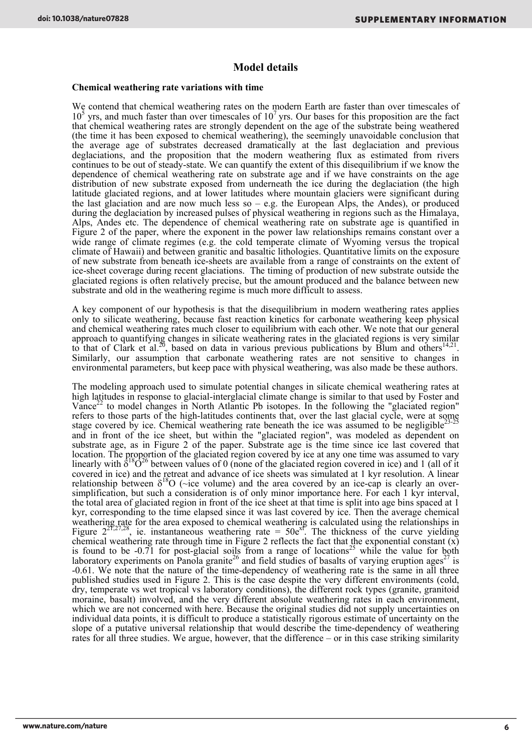### **Model details**

#### **Chemical weathering rate variations with time**

We contend that chemical weathering rates on the modern Earth are faster than over timescales of  $10<sup>5</sup>$  yrs, and much faster than over timescales of  $10<sup>7</sup>$  yrs. Our bases for this proposition are the fact that chemical weathering rates are strongly dependent on the age of the substrate being weathered (the time it has been exposed to chemical weathering), the seemingly unavoidable conclusion that the average age of substrates decreased dramatically at the last deglaciation and previous deglaciations, and the proposition that the modern weathering flux as estimated from rivers continues to be out of steady-state. We can quantify the extent of this disequilibrium if we know the dependence of chemical weathering rate on substrate age and if we have constraints on the age distribution of new substrate exposed from underneath the ice during the deglaciation (the high latitude glaciated regions, and at lower latitudes where mountain glaciers were significant during the last glaciation and are now much less so  $-$  e.g. the European Alps, the Andes), or produced during the deglaciation by increased pulses of physical weathering in regions such as the Himalaya, Alps, Andes etc. The dependence of chemical weathering rate on substrate age is quantified in Figure 2 of the paper, where the exponent in the power law relationships remains constant over a wide range of climate regimes (e.g. the cold temperate climate of Wyoming versus the tropical climate of Hawaii) and between granitic and basaltic lithologies. Quantitative limits on the exposure of new substrate from beneath ice-sheets are available from a range of constraints on the extent of ice-sheet coverage during recent glaciations. The timing of production of new substrate outside the glaciated regions is often relatively precise, but the amount produced and the balance between new substrate and old in the weathering regime is much more difficult to assess.

A key component of our hypothesis is that the disequilibrium in modern weathering rates applies only to silicate weathering, because fast reaction kinetics for carbonate weathering keep physical and chemical weathering rates much closer to equilibrium with each other. We note that our general approach to quantifying changes in silicate weathering rates in the glaciated regions is very similar to that of Clark et al.<sup>20</sup>, based on data in various previous publications by Blum and others<sup>14,21</sup>. Similarly, our assumption that carbonate weathering rates are not sensitive to changes in environmental parameters, but keep pace with physical weathering, was also made be these authors.

The modeling approach used to simulate potential changes in silicate chemical weathering rates at high latitudes in response to glacial-interglacial climate change is similar to that used by Foster and Vance<sup>22</sup> to model changes in North Atlantic Pb isotopes. In the following the "glaciated region" refers to those parts of the high-latitudes continents that, over the last glacial cycle, were at some stage covered by ice. Chemical weathering rate beneath the ice was assumed to be negligible $^{23-25}$ and in front of the ice sheet, but within the "glaciated region", was modeled as dependent on substrate age, as in Figure 2 of the paper. Substrate age is the time since ice last covered that location. The proportion of the glaciated region covered by ice at any one time was assumed to vary linearly with  $\delta^{18}$ O<sup>26</sup> between values of 0 (none of the glaciated region covered in ice) and 1 (all of it covered in ice) and the retreat and advance of ice sheets was simulated at 1 kyr resolution. A linear relationship between  $\delta^{18}O$  (~ice volume) and the area covered by an ice-cap is clearly an oversimplification, but such a consideration is of only minor importance here. For each 1 kyr interval, the total area of glaciated region in front of the ice sheet at that time is split into age bins spaced at 1 kyr, corresponding to the time elapsed since it was last covered by ice. Then the average chemical weathering rate for the area exposed to chemical weathering is calculated using the relationships in Figure  $2^{27,27,28}$ , ie. instantaneous weathering rate =  $50e^{x}$ . The thickness of the curve yielding chemical weathering rate through time in Figure 2 reflects the fact that the exponential constant  $(x)$ is found to be  $-0.71$  for post-glacial soils from a range of locations<sup>25</sup> while the value for both laboratory experiments on Panola granite<sup>26</sup> and field studies of basalts of varying eruption ages<sup>27</sup> is -0.61. We note that the nature of the time-dependency of weathering rate is the same in all three published studies used in Figure 2. This is the case despite the very different environments (cold, dry, temperate vs wet tropical vs laboratory conditions), the different rock types (granite, granitoid moraine, basalt) involved, and the very different absolute weathering rates in each environment, which we are not concerned with here. Because the original studies did not supply uncertainties on individual data points, it is difficult to produce a statistically rigorous estimate of uncertainty on the slope of a putative universal relationship that would describe the time-dependency of weathering rates for all three studies. We argue, however, that the difference – or in this case striking similarity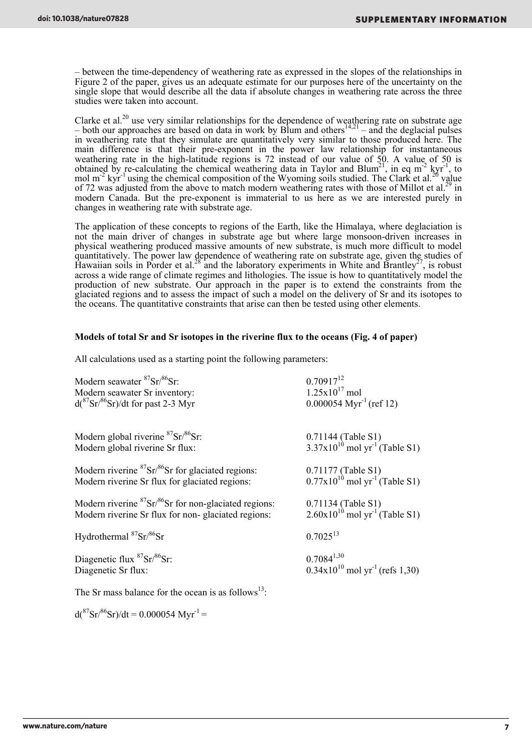– between the time-dependency of weathering rate as expressed in the slopes of the relationships in Figure 2 of the paper, gives us an adequate estimate for our purposes here of the uncertainty on the single slope that would describe all the data if absolute changes in weathering rate across the three studies were taken into account.

Clarke et al.<sup>20</sup> use very similar relationships for the dependence of weathering rate on substrate age – both our approaches are based on data in work by Blum and others<sup>14,21</sup> – and the deglacial pulses in weathering rate that they simulate are quantitatively very similar to those produced here. The main difference is that their pre-exponent in the power law relationship for instantaneous weathering rate in the high-latitude regions is 72 instead of our value of 50. A value of 50 is obtained by re-calculating the chemical weathering data in Taylor and Blum<sup>21</sup>, in eq m<sup>-2</sup> kyr<sup>-1</sup>, to mol m<sup>-2</sup> kyr<sup>-1</sup> using the chemical composition of the Wyoming soils studied. The Clark et al.<sup>20</sup> value of 72 was adjusted from the above to match modern weathering rates with those of Millot et al.<sup>29</sup> in modern Canada. But the pre-exponent is immaterial to us here as we are interested purely in changes in weathering rate with substrate age.

The application of these concepts to regions of the Earth, like the Himalaya, where deglaciation is not the main driver of changes in substrate age but where large monsoon-driven increases in physical weathering produced massive amounts of new substrate, is much more difficult to model quantitatively. The power law dependence of weathering rate on substrate age, given the studies of Hawaiian soils in Porder et al.<sup>28</sup> and the laboratory experiments in White and Brantley<sup>27</sup>, is robust across a wide range of climate regimes and lithologies. The issue is how to quantitatively model the production of new substrate. Our approach in the paper is to extend the constraints from the glaciated regions and to assess the impact of such a model on the delivery of Sr and its isotopes to the oceans. The quantitative constraints that arise can then be tested using other elements.

#### **Models of total Sr and Sr isotopes in the riverine flux to the oceans (Fig. 4 of paper)**

All calculations used as a starting point the following parameters:

| Modern seawater ${}^{87}Sr/{}^{86}Sr$<br>Modern seawater Sr inventory:<br>$d(^{87}Sr/^{86}Sr)/dt$ for past 2-3 Myr     | $0.70917^{12}$<br>$1.25x10^{17}$ mol<br>$0.000054$ Myr <sup>-1</sup> (ref 12) |
|------------------------------------------------------------------------------------------------------------------------|-------------------------------------------------------------------------------|
| Modern global riverine ${}^{87}Sr/{}^{86}Sr$<br>Modern global riverine Sr flux:                                        | $0.71144$ (Table S1)<br>3.37x10 <sup>10</sup> mol yr <sup>-1</sup> (Table S1) |
| Modern riverine ${}^{87}Sr/{}^{86}Sr$ for glaciated regions:<br>Modern riverine Sr flux for glaciated regions:         | $0.71177$ (Table S1)<br>$0.77 \times 10^{10}$ mol yr <sup>-1</sup> (Table S1) |
| Modern riverine ${}^{87}Sr/{}^{86}Sr$ for non-glaciated regions:<br>Modern riverine Sr flux for non-glaciated regions: | 0.71134 (Table S1)<br>2.60x10 <sup>10</sup> mol yr <sup>-1</sup> (Table S1)   |
| Hydrothermal <sup>87</sup> Sr/ <sup>86</sup> Sr                                                                        | $0.7025^{13}$                                                                 |
| Diagenetic flux ${}^{87}Sr/{}^{86}Sr$<br>Diagenetic Sr flux:                                                           | $0.7084^{1,30}$<br>$0.34x10^{10}$ mol yr <sup>-1</sup> (refs 1,30)            |
| The Sr mass balance for the ocean is as follows $^{13}$ .                                                              |                                                                               |

 $d(^{87}Sr)^{86}Sr)/dt = 0.000054 Myr^{-1} =$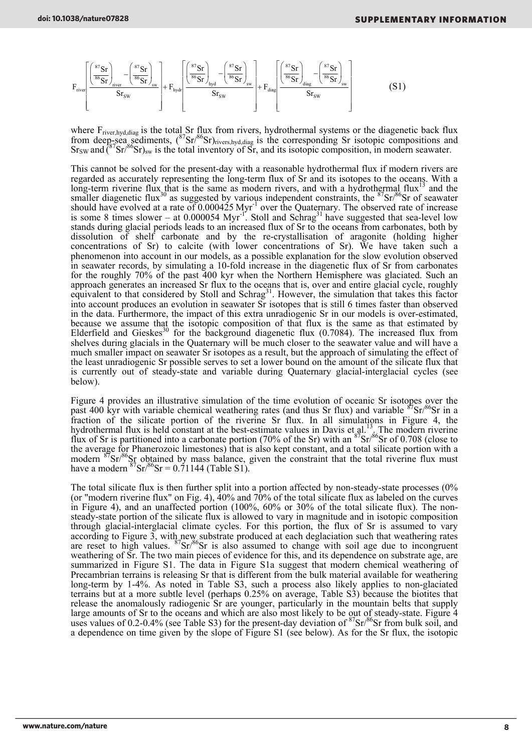$$
F_{\text{river}} \left[ \frac{\left(\frac{s \tau_{sr}}{s \kappa_{sr}}\right)_{\text{river}} - \left(\frac{s \tau_{sr}}{s \kappa_{sr}}\right)}{S r_{\text{sw}}} \right] + F_{\text{hydr}} \left[ \frac{\left(\frac{s \tau_{sr}}{s \kappa_{sr}}\right)_{\text{hyd}} - \left(\frac{s \tau_{sr}}{s \kappa_{sr}}\right)}{S r_{\text{sw}}} \right] + F_{\text{diag}} \left[ \frac{\left(\frac{s \tau_{sr}}{s \kappa_{sr}}\right)_{\text{diag}} - \left(\frac{s \tau_{sr}}{s \kappa_{sr}}\right)}{S r_{\text{sw}}} \right] \tag{S1}
$$

where  $F_{\text{river,hyd,diag}}$  is the total Sr flux from rivers, hydrothermal systems or the diagenetic back flux from deep-sea sediments,  $({}^{87}Sr/{}^{86}Sr)_{\text{rivers,hyd,diag}}$  is the corresponding Sr isotopic compositions and  $S_{\text{TSW}}$  and  $\zeta^{87}$ Sr/ $\zeta^{86}$ Sr)<sub>sw</sub> is the total inventory of Sr, and its isotopic composition, in modern seawater.

This cannot be solved for the present-day with a reasonable hydrothermal flux if modern rivers are regarded as accurately representing the long-term flux of Sr and its isotopes to the oceans. With a long-term riverine flux that is the same as modern rivers, and with a hydrothermal flux<sup>13</sup> and the smaller diagenetic flux<sup>30</sup> as suggested by various independent constraints, the  $87$ Sr $/86$ Sr of seawater should have evolved at a rate of 0.000425 Myr<sup>-1</sup> over the Quaternary. The observed rate of increase is some 8 times slower – at  $0.000054$  Myr<sup>-1'</sup>. Stoll and Schrag<sup>31</sup> have suggested that sea-level low stands during glacial periods leads to an increased flux of Sr to the oceans from carbonates, both by dissolution of shelf carbonate and by the re-crystallisation of aragonite (holding higher concentrations of Sr) to calcite (with lower concentrations of Sr). We have taken such a phenomenon into account in our models, as a possible explanation for the slow evolution observed in seawater records, by simulating a 10-fold increase in the diagenetic flux of Sr from carbonates for the roughly 70% of the past 400 kyr when the Northern Hemisphere was glaciated. Such an approach generates an increased Sr flux to the oceans that is, over and entire glacial cycle, roughly equivalent to that considered by Stoll and Schrag<sup>31</sup>. However, the simulation that takes this factor into account produces an evolution in seawater Sr isotopes that is still 6 times faster than observed in the data. Furthermore, the impact of this extra unradiogenic Sr in our models is over-estimated, because we assume that the isotopic composition of that flux is the same as that estimated by Elderfield and Gieskes<sup>30</sup> for the background diagenetic flux  $(0.7084)$ . The increased flux from shelves during glacials in the Quaternary will be much closer to the seawater value and will have a much smaller impact on seawater Sr isotopes as a result, but the approach of simulating the effect of the least unradiogenic Sr possible serves to set a lower bound on the amount of the silicate flux that is currently out of steady-state and variable during Quaternary glacial-interglacial cycles (see below).

Figure 4 provides an illustrative simulation of the time evolution of oceanic Sr isotopes over the past 400 kyr with variable chemical weathering rates (and thus Sr flux) and variable  ${}^{87}Sr/{}^{86}Sr$  in a fraction of the silicate portion of the riverine Sr flux. In all simulations in Figure 4, the hydrothermal flux is held constant at the best-estimate values in Davis et al.<sup>13</sup>. The modern riverine flux of Sr is partitioned into a carbonate portion (70% of the Sr) with an  ${}^{87}Sr/{}^{86}Sr$  of 0.708 (close to the average for Phanerozoic limestones) that is also kept constant, and a total silicate portion with a modern  $87\text{Sr}}/86\text{Sr}$  obtained by mass balance, given the constraint that the total riverine flux must have a modern  ${}^{87}Sr/{}^{86}Sr = 0.71144$  (Table S1).

The total silicate flux is then further split into a portion affected by non-steady-state processes (0% (or "modern riverine flux" on Fig. 4),  $40\%$  and  $70\%$  of the total silicate flux as labeled on the curves in Figure 4), and an unaffected portion (100%, 60% or 30% of the total silicate flux). The nonsteady-state portion of the silicate flux is allowed to vary in magnitude and in isotopic composition through glacial-interglacial climate cycles. For this portion, the flux of Sr is assumed to vary according to Figure 3, with new substrate produced at each deglaciation such that weathering rates are reset to high values.  $87\text{Sr}/86\text{Sr}$  is also assumed to change with soil age due to incongruent weathering of Sr. The two main pieces of evidence for this, and its dependence on substrate age, are summarized in Figure S1. The data in Figure S1a suggest that modern chemical weathering of Precambrian terrains is releasing Sr that is different from the bulk material available for weathering long-term by 1-4%. As noted in Table S3, such a process also likely applies to non-glaciated terrains but at a more subtle level (perhaps 0.25% on average, Table S3) because the biotites that release the anomalously radiogenic Sr are younger, particularly in the mountain belts that supply large amounts of Sr to the oceans and which are also most likely to be out of steady-state. Figure 4 uses values of 0.2-0.4% (see Table S3) for the present-day deviation of  $87\text{Sr}/86\text{Sr}$  from bulk soil, and a dependence on time given by the slope of Figure S1 (see below). As for the Sr flux, the isotopic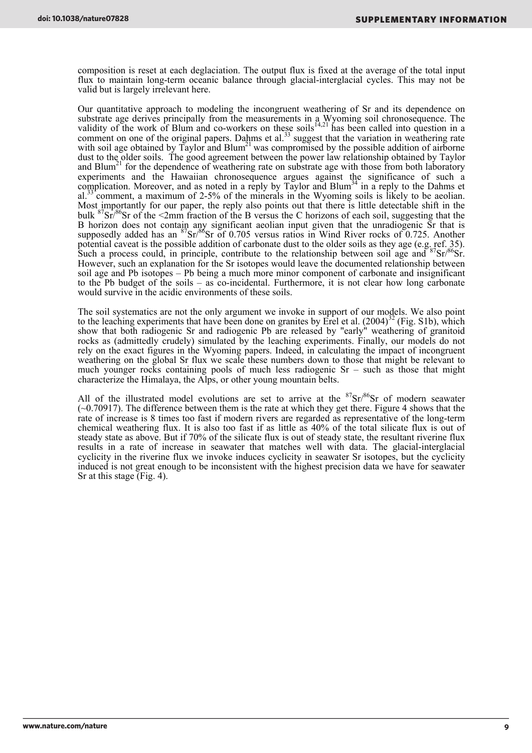composition is reset at each deglaciation. The output flux is fixed at the average of the total input flux to maintain long-term oceanic balance through glacial-interglacial cycles. This may not be valid but is largely irrelevant here.

Our quantitative approach to modeling the incongruent weathering of Sr and its dependence on substrate age derives principally from the measurements in a Wyoming soil chronosequence. The validity of the work of Blum and co-workers on these soils<sup>14,21</sup> has been called into question in a comment on one of the original papers. Dahms et al.<sup>33</sup> suggest that the variation in weathering rate with soil age obtained by Taylor and Blum<sup>21</sup> was compromised by the possible addition of airborne dust to the older soils. The good agreement between the power law relationship obtained by Taylor and  $Blum<sup>21</sup>$  for the dependence of weathering rate on substrate age with those from both laboratory experiments and the Hawaiian chronosequence argues against the significance of such a complication. Moreover, and as noted in a reply by Taylor and Blum<sup>34</sup> in a reply to the Dahms et al.<sup>33</sup> comment, a maximum of 2-5% of the minerals in the Wyoming soils is likely to be aeolian. Most importantly for our paper, the reply also points out that there is little detectable shift in the bulk <sup>87</sup>Sr<sup>/86</sup>Sr of the <2mm fraction of the B versus the C horizons of each soil, suggesting that the B horizon does not contain any significant aeolian input given that the unradiogenic Sr that is supposedly added has an  ${}^{87}Sr/{}^{86}Sr$  of 0.705 versus ratios in Wind River rocks of 0.725. Another potential caveat is the possible addition of carbonate dust to the older soils as they age (e.g. ref. 35). Such a process could, in principle, contribute to the relationship between soil age and  $87\text{Sr}/86\text{Sr}$ . However, such an explanation for the Sr isotopes would leave the documented relationship between soil age and Pb isotopes – Pb being a much more minor component of carbonate and insignificant to the Pb budget of the soils – as co-incidental. Furthermore, it is not clear how long carbonate would survive in the acidic environments of these soils.

The soil systematics are not the only argument we invoke in support of our models. We also point to the leaching experiments that have been done on granites by Erel et al.  $(2004)^{32}$  (Fig. S1b), which show that both radiogenic Sr and radiogenic Pb are released by "early" weathering of granitoid rocks as (admittedly crudely) simulated by the leaching experiments. Finally, our models do not rely on the exact figures in the Wyoming papers. Indeed, in calculating the impact of incongruent weathering on the global Sr flux we scale these numbers down to those that might be relevant to much younger rocks containing pools of much less radiogenic Sr – such as those that might characterize the Himalaya, the Alps, or other young mountain belts.

All of the illustrated model evolutions are set to arrive at the  $87\text{Sr}86\text{Sr}$  of modern seawater  $(-0.70917)$ . The difference between them is the rate at which they get there. Figure 4 shows that the rate of increase is 8 times too fast if modern rivers are regarded as representative of the long-term chemical weathering flux. It is also too fast if as little as 40% of the total silicate flux is out of steady state as above. But if 70% of the silicate flux is out of steady state, the resultant riverine flux results in a rate of increase in seawater that matches well with data. The glacial-interglacial cyclicity in the riverine flux we invoke induces cyclicity in seawater Sr isotopes, but the cyclicity induced is not great enough to be inconsistent with the highest precision data we have for seawater Sr at this stage (Fig. 4).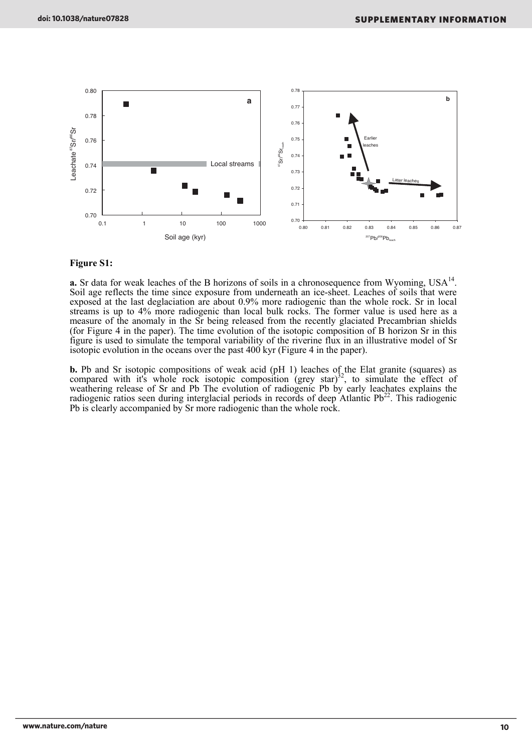

#### **Figure S1:**

**a.** Sr data for weak leaches of the B horizons of soils in a chronosequence from Wyoming,  $USA^{14}$ . Soil age reflects the time since exposure from underneath an ice-sheet. Leaches of soils that were exposed at the last deglaciation are about 0.9% more radiogenic than the whole rock. Sr in local streams is up to 4% more radiogenic than local bulk rocks. The former value is used here as a measure of the anomaly in the Sr being released from the recently glaciated Precambrian shields (for Figure 4 in the paper). The time evolution of the isotopic composition of B horizon Sr in this figure is used to simulate the temporal variability of the riverine flux in an illustrative model of Sr isotopic evolution in the oceans over the past 400 kyr (Figure 4 in the paper).

**b.** Pb and Sr isotopic compositions of weak acid (pH 1) leaches of the Elat granite (squares) as compared with it's whole rock isotopic composition (grey star)<sup>32</sup>, to simulate the effect of weathering release of Sr and Pb The evolution of radiogenic Pb by early leachates explains the radiogenic ratios seen during interglacial periods in records of deep Atlantic  $Pb^{22}$ . This radiogenic Pb is clearly accompanied by Sr more radiogenic than the whole rock.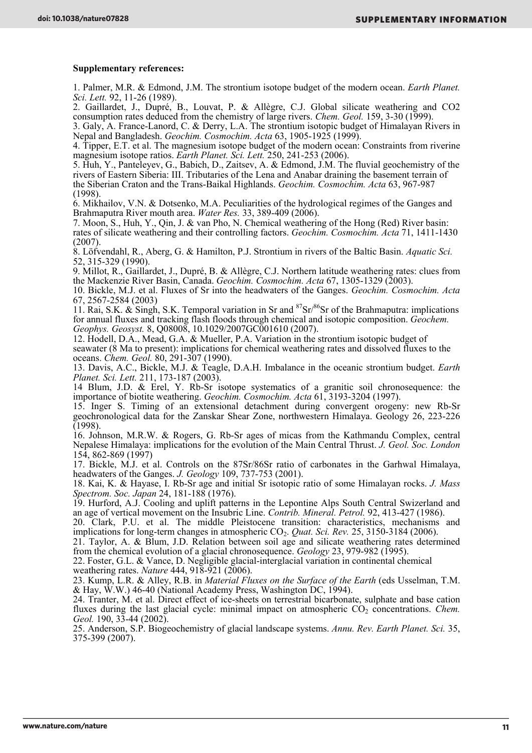#### **Supplementary references:**

1. Palmer, M.R. & Edmond, J.M. The strontium isotope budget of the modern ocean. *Earth Planet. Sci. Lett.* 92, 11-26 (1989).

2. Gaillardet, J., Dupré, B., Louvat, P. & Allègre, C.J. Global silicate weathering and CO2 consumption rates deduced from the chemistry of large rivers. *Chem. Geol.* 159, 3-30 (1999).

3. Galy, A. France-Lanord, C. & Derry, L.A. The strontium isotopic budget of Himalayan Rivers in Nepal and Bangladesh. *Geochim. Cosmochim. Acta* 63, 1905-1925 (1999).

4. Tipper, E.T. et al. The magnesium isotope budget of the modern ocean: Constraints from riverine magnesium isotope ratios. *Earth Planet. Sci. Lett.* 250, 241-253 (2006).

5. Huh, Y., Panteleyev, G., Babich, D., Zaitsev, A. & Edmond, J.M. The fluvial geochemistry of the rivers of Eastern Siberia: III. Tributaries of the Lena and Anabar draining the basement terrain of the Siberian Craton and the Trans-Baikal Highlands. *Geochim. Cosmochim. Acta* 63, 967-987 (1998).

6. Mikhailov, V.N. & Dotsenko, M.A. Peculiarities of the hydrological regimes of the Ganges and Brahmaputra River mouth area. *Water Res.* 33, 389-409 (2006).

7. Moon, S., Huh, Y., Qin, J. & van Pho, N. Chemical weathering of the Hong (Red) River basin: rates of silicate weathering and their controlling factors. *Geochim. Cosmochim. Acta* 71, 1411-1430 (2007).

8. Löfvendahl, R., Aberg, G. & Hamilton, P.J. Strontium in rivers of the Baltic Basin. *Aquatic Sci.* 52, 315-329 (1990).

9. Millot, R., Gaillardet, J., Dupré, B. & Allègre, C.J. Northern latitude weathering rates: clues from the Mackenzie River Basin, Canada. *Geochim. Cosmochim. Acta* 67, 1305-1329 (2003).

10. Bickle, M.J. et al. Fluxes of Sr into the headwaters of the Ganges. *Geochim. Cosmochim. Acta* 67, 2567-2584 (2003)

11. Rai, S.K. & Singh, S.K. Temporal variation in Sr and  ${}^{87}Sr/{}^{86}Sr$  of the Brahmaputra: implications for annual fluxes and tracking flash floods through chemical and isotopic composition. *Geochem. Geophys. Geosyst.* 8, Q08008, 10.1029/2007GC001610 (2007).

12. Hodell, D.A., Mead, G.A. & Mueller, P.A. Variation in the strontium isotopic budget of seawater (8 Ma to present): implications for chemical weathering rates and dissolved fluxes to the oceans. *Chem. Geol.* 80, 291-307 (1990).

13. Davis, A.C., Bickle, M.J. & Teagle, D.A.H. Imbalance in the oceanic strontium budget. *Earth Planet. Sci. Lett.* 211, 173-187 (2003).

14 Blum, J.D. & Erel, Y. Rb-Sr isotope systematics of a granitic soil chronosequence: the importance of biotite weathering. *Geochim. Cosmochim. Acta* 61, 3193-3204 (1997).

15. Inger S. Timing of an extensional detachment during convergent orogeny: new Rb-Sr geochronological data for the Zanskar Shear Zone, northwestern Himalaya. Geology 26, 223-226 (1998).

16. Johnson, M.R.W. & Rogers, G. Rb-Sr ages of micas from the Kathmandu Complex, central Nepalese Himalaya: implications for the evolution of the Main Central Thrust. *J. Geol. Soc. London*  154, 862-869 (1997)

17. Bickle, M.J. et al. Controls on the 87Sr/86Sr ratio of carbonates in the Garhwal Himalaya, headwaters of the Ganges. *J. Geology* 109, 737-753 (2001).

18. Kai, K. & Hayase, I. Rb-Sr age and initial Sr isotopic ratio of some Himalayan rocks. *J. Mass Spectrom. Soc. Japan* 24, 181-188 (1976).

19. Hurford, A.J. Cooling and uplift patterns in the Lepontine Alps South Central Swizerland and an age of vertical movement on the Insubric Line. *Contrib. Mineral. Petrol.* 92, 413-427 (1986).

20. Clark, P.U. et al. The middle Pleistocene transition: characteristics, mechanisms and implications for long-term changes in atmospheric CO<sub>2</sub>. *Quat. Sci. Rev.* 25, 3150-3184 (2006).

21. Taylor, A. & Blum, J.D. Relation between soil age and silicate weathering rates determined from the chemical evolution of a glacial chronosequence. *Geology* 23, 979-982 (1995).

22. Foster, G.L. & Vance, D. Negligible glacial-interglacial variation in continental chemical

weathering rates. *Nature* 444, 918-921 (2006).

23. Kump, L.R. & Alley, R.B. in *Material Fluxes on the Surface of the Earth* (eds Usselman, T.M. & Hay, W.W.) 46-40 (National Academy Press, Washington DC, 1994).

24. Tranter, M. et al. Direct effect of ice-sheets on terrestrial bicarbonate, sulphate and base cation fluxes during the last glacial cycle: minimal impact on atmospheric CO<sub>2</sub> concentrations. *Chem. Geol.* 190, 33-44 (2002).

25. Anderson, S.P. Biogeochemistry of glacial landscape systems. *Annu. Rev. Earth Planet. Sci.* 35, 375-399 (2007).